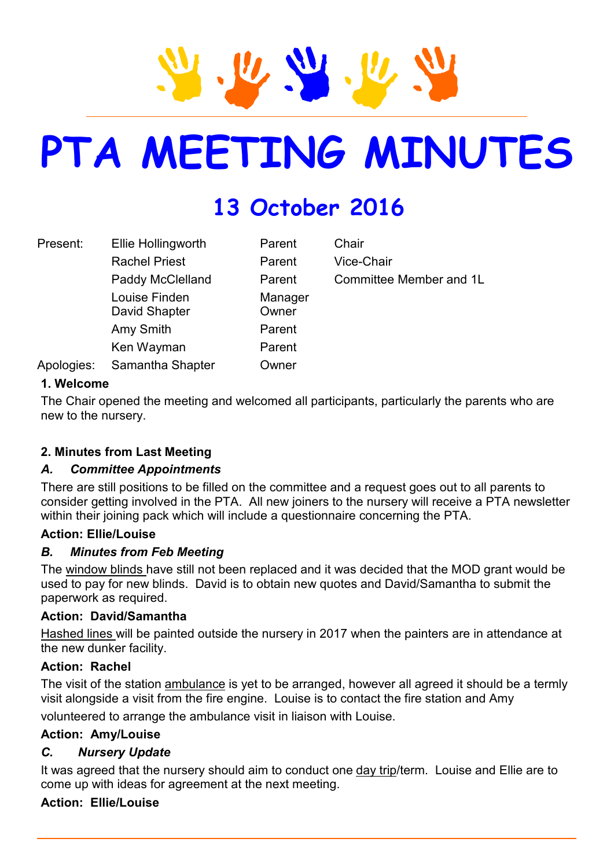# **PTA MEETING MINUTES**

# **13 October 2016**

| Present:   | Ellie Hollingworth             | Parent           | Chair                   |
|------------|--------------------------------|------------------|-------------------------|
|            | <b>Rachel Priest</b>           | Parent           | Vice-Chair              |
|            | Paddy McClelland               | Parent           | Committee Member and 1L |
|            | Louise Finden<br>David Shapter | Manager<br>Owner |                         |
|            | Amy Smith                      | Parent           |                         |
|            | Ken Wayman                     | Parent           |                         |
| Apologies: | Samantha Shapter               | Owner            |                         |

#### **1. Welcome**

The Chair opened the meeting and welcomed all participants, particularly the parents who are new to the nursery.

# **2. Minutes from Last Meeting**

#### *A. Committee Appointments*

There are still positions to be filled on the committee and a request goes out to all parents to consider getting involved in the PTA. All new joiners to the nursery will receive a PTA newsletter within their joining pack which will include a questionnaire concerning the PTA.

#### **Action: Ellie/Louise**

#### *B. Minutes from Feb Meeting*

The window blinds have still not been replaced and it was decided that the MOD grant would be used to pay for new blinds. David is to obtain new quotes and David/Samantha to submit the paperwork as required.

#### **Action: David/Samantha**

Hashed lines will be painted outside the nursery in 2017 when the painters are in attendance at the new dunker facility.

#### **Action: Rachel**

The visit of the station ambulance is yet to be arranged, however all agreed it should be a termly visit alongside a visit from the fire engine. Louise is to contact the fire station and Amy

volunteered to arrange the ambulance visit in liaison with Louise.

# **Action: Amy/Louise**

# *C. Nursery Update*

It was agreed that the nursery should aim to conduct one day trip/term. Louise and Ellie are to come up with ideas for agreement at the next meeting.

# **Action: Ellie/Louise**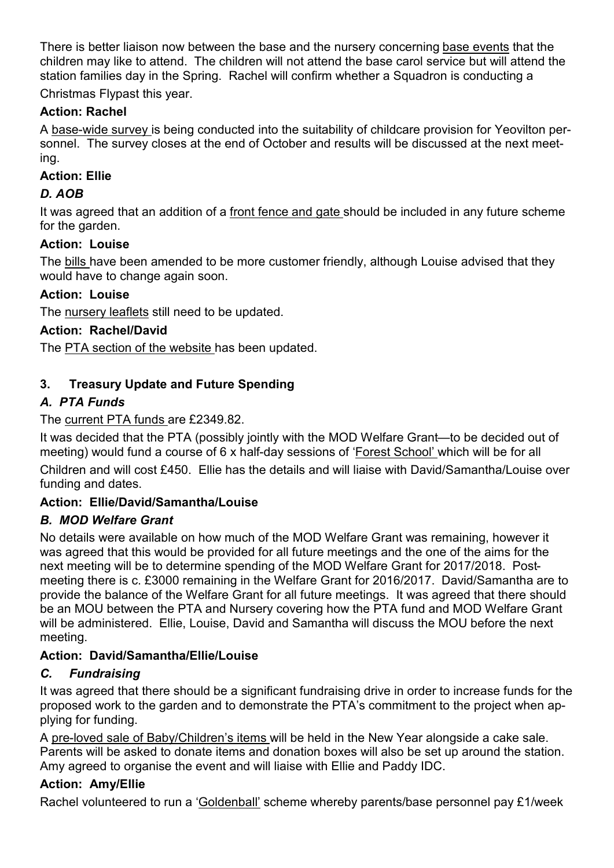There is better liaison now between the base and the nursery concerning base events that the children may like to attend. The children will not attend the base carol service but will attend the station families day in the Spring. Rachel will confirm whether a Squadron is conducting a

Christmas Flypast this year.

# **Action: Rachel**

A base-wide survey is being conducted into the suitability of childcare provision for Yeovilton personnel. The survey closes at the end of October and results will be discussed at the next meeting.

# **Action: Ellie**

# *D. AOB*

It was agreed that an addition of a front fence and gate should be included in any future scheme for the garden.

# **Action: Louise**

The bills have been amended to be more customer friendly, although Louise advised that they would have to change again soon.

# **Action: Louise**

The nursery leaflets still need to be updated.

# **Action: Rachel/David**

The PTA section of the website has been updated.

# **3. Treasury Update and Future Spending**

# *A. PTA Funds*

The current PTA funds are £2349.82.

It was decided that the PTA (possibly jointly with the MOD Welfare Grant—to be decided out of meeting) would fund a course of 6 x half-day sessions of 'Forest School' which will be for all Children and will cost £450. Ellie has the details and will liaise with David/Samantha/Louise over funding and dates.

# **Action: Ellie/David/Samantha/Louise**

# *B. MOD Welfare Grant*

No details were available on how much of the MOD Welfare Grant was remaining, however it was agreed that this would be provided for all future meetings and the one of the aims for the next meeting will be to determine spending of the MOD Welfare Grant for 2017/2018. Postmeeting there is c. £3000 remaining in the Welfare Grant for 2016/2017. David/Samantha are to provide the balance of the Welfare Grant for all future meetings. It was agreed that there should be an MOU between the PTA and Nursery covering how the PTA fund and MOD Welfare Grant will be administered. Ellie, Louise, David and Samantha will discuss the MOU before the next meeting.

# **Action: David/Samantha/Ellie/Louise**

# *C. Fundraising*

It was agreed that there should be a significant fundraising drive in order to increase funds for the proposed work to the garden and to demonstrate the PTA's commitment to the project when applying for funding.

A pre-loved sale of Baby/Children's items will be held in the New Year alongside a cake sale. Parents will be asked to donate items and donation boxes will also be set up around the station. Amy agreed to organise the event and will liaise with Ellie and Paddy IDC.

# **Action: Amy/Ellie**

Rachel volunteered to run a 'Goldenball' scheme whereby parents/base personnel pay £1/week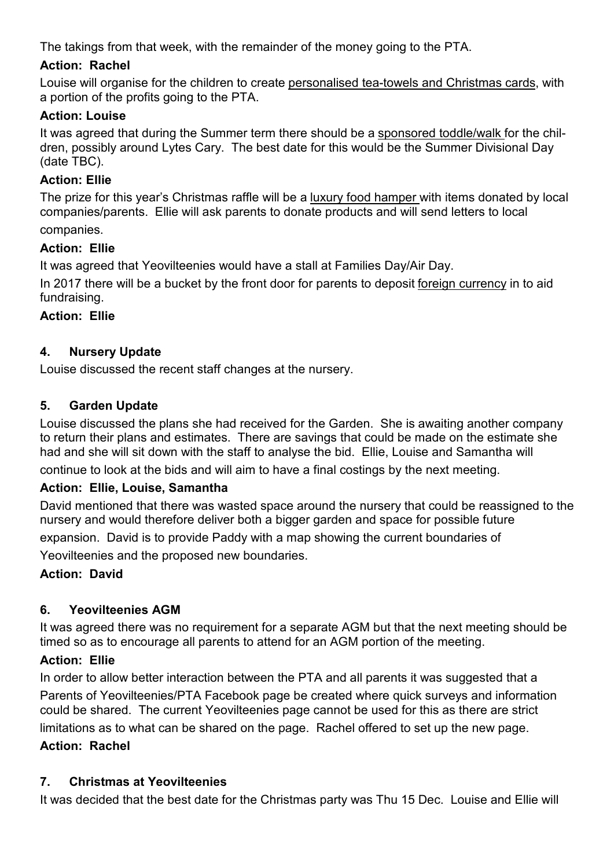The takings from that week, with the remainder of the money going to the PTA.

# **Action: Rachel**

Louise will organise for the children to create personalised tea-towels and Christmas cards, with a portion of the profits going to the PTA.

# **Action: Louise**

It was agreed that during the Summer term there should be a sponsored toddle/walk for the children, possibly around Lytes Cary. The best date for this would be the Summer Divisional Day (date TBC).

#### **Action: Ellie**

The prize for this year's Christmas raffle will be a luxury food hamper with items donated by local companies/parents. Ellie will ask parents to donate products and will send letters to local companies.

# **Action: Ellie**

It was agreed that Yeovilteenies would have a stall at Families Day/Air Day.

In 2017 there will be a bucket by the front door for parents to deposit foreign currency in to aid fundraising.

#### **Action: Ellie**

#### **4. Nursery Update**

Louise discussed the recent staff changes at the nursery.

#### **5. Garden Update**

Louise discussed the plans she had received for the Garden. She is awaiting another company to return their plans and estimates. There are savings that could be made on the estimate she had and she will sit down with the staff to analyse the bid. Ellie, Louise and Samantha will

continue to look at the bids and will aim to have a final costings by the next meeting.

#### **Action: Ellie, Louise, Samantha**

David mentioned that there was wasted space around the nursery that could be reassigned to the nursery and would therefore deliver both a bigger garden and space for possible future

expansion. David is to provide Paddy with a map showing the current boundaries of

Yeovilteenies and the proposed new boundaries.

# **Action: David**

# **6. Yeovilteenies AGM**

It was agreed there was no requirement for a separate AGM but that the next meeting should be timed so as to encourage all parents to attend for an AGM portion of the meeting.

#### **Action: Ellie**

In order to allow better interaction between the PTA and all parents it was suggested that a Parents of Yeovilteenies/PTA Facebook page be created where quick surveys and information could be shared. The current Yeovilteenies page cannot be used for this as there are strict limitations as to what can be shared on the page. Rachel offered to set up the new page.

#### **Action: Rachel**

# **7. Christmas at Yeovilteenies**

It was decided that the best date for the Christmas party was Thu 15 Dec. Louise and Ellie will